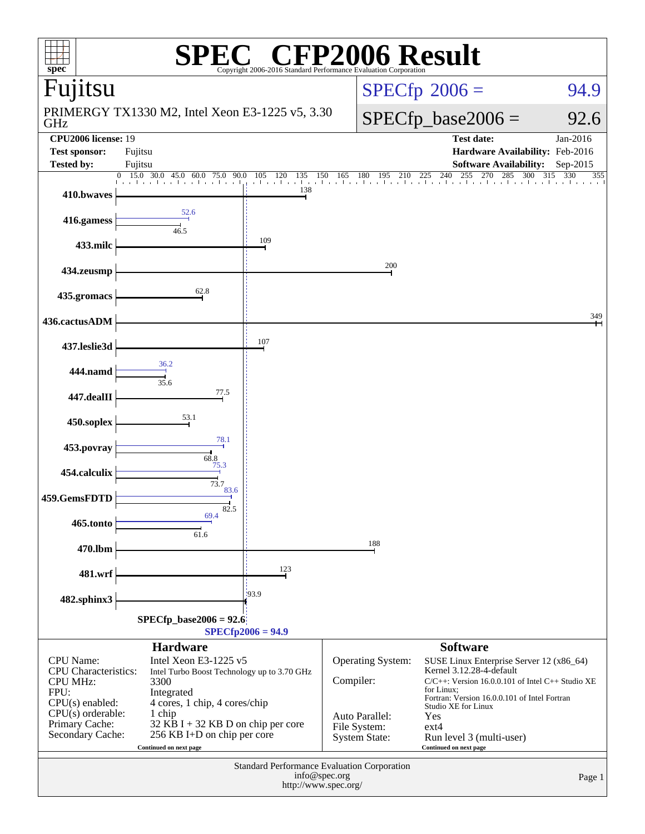| 2006 Result<br>spec <sup>®</sup><br>Copyright 2006-2016 Standard Performance Evaluation Corporation |                                                                                                                                                              |                            |                   |                                                                                                                                                                                           |                                                                                    |                        |  |  |  |
|-----------------------------------------------------------------------------------------------------|--------------------------------------------------------------------------------------------------------------------------------------------------------------|----------------------------|-------------------|-------------------------------------------------------------------------------------------------------------------------------------------------------------------------------------------|------------------------------------------------------------------------------------|------------------------|--|--|--|
| Fujitsu                                                                                             |                                                                                                                                                              |                            |                   | $SPECfp^{\circ}2006 =$                                                                                                                                                                    |                                                                                    |                        |  |  |  |
| GHz                                                                                                 | PRIMERGY TX1330 M2, Intel Xeon E3-1225 v5, 3.30                                                                                                              |                            |                   |                                                                                                                                                                                           | $SPECfp\_base2006 =$<br>92.6                                                       |                        |  |  |  |
| <b>CPU2006</b> license: 19<br><b>Test sponsor:</b>                                                  | Fujitsu                                                                                                                                                      |                            |                   |                                                                                                                                                                                           | <b>Test date:</b><br>Hardware Availability: Feb-2016                               | Jan-2016               |  |  |  |
| <b>Tested by:</b>                                                                                   | Fujitsu<br>$\overline{30.0}$ 45.0<br>15.0<br>$\Omega$<br>90.0<br>60.0<br>75.0                                                                                | 135<br>105<br>120          |                   |                                                                                                                                                                                           | <b>Software Availability:</b><br>150 165 180 195 210 225 240 255 270 285 300 315 3 | Sep-2015<br>330<br>355 |  |  |  |
| 410.bwaves                                                                                          |                                                                                                                                                              | and the first track<br>138 |                   |                                                                                                                                                                                           |                                                                                    |                        |  |  |  |
| 416.gamess                                                                                          | 52.6<br>46.5                                                                                                                                                 |                            |                   |                                                                                                                                                                                           |                                                                                    |                        |  |  |  |
| 433.milc                                                                                            |                                                                                                                                                              | 109                        |                   |                                                                                                                                                                                           |                                                                                    |                        |  |  |  |
| 434.zeusmp                                                                                          |                                                                                                                                                              |                            |                   | 200                                                                                                                                                                                       |                                                                                    |                        |  |  |  |
| 435.gromacs                                                                                         | 62.8                                                                                                                                                         |                            |                   |                                                                                                                                                                                           |                                                                                    |                        |  |  |  |
| 436.cactusADM                                                                                       |                                                                                                                                                              |                            |                   |                                                                                                                                                                                           |                                                                                    | 349                    |  |  |  |
| 437.leslie3d                                                                                        |                                                                                                                                                              | 107                        |                   |                                                                                                                                                                                           |                                                                                    |                        |  |  |  |
| 444.namd                                                                                            | 36.2<br>35.6                                                                                                                                                 |                            |                   |                                                                                                                                                                                           |                                                                                    |                        |  |  |  |
| 447.dealII                                                                                          | 77.5                                                                                                                                                         |                            |                   |                                                                                                                                                                                           |                                                                                    |                        |  |  |  |
| 450.soplex                                                                                          | 53.1                                                                                                                                                         |                            |                   |                                                                                                                                                                                           |                                                                                    |                        |  |  |  |
| 453.povray                                                                                          | 78.1<br>68.8                                                                                                                                                 |                            |                   |                                                                                                                                                                                           |                                                                                    |                        |  |  |  |
| 454.calculix                                                                                        | 75.3<br>73.7                                                                                                                                                 |                            |                   |                                                                                                                                                                                           |                                                                                    |                        |  |  |  |
| 459.GemsFDTD                                                                                        | 83.6<br>82.5                                                                                                                                                 |                            |                   |                                                                                                                                                                                           |                                                                                    |                        |  |  |  |
| 465.tonto                                                                                           | 69.4<br>61.6                                                                                                                                                 |                            |                   |                                                                                                                                                                                           |                                                                                    |                        |  |  |  |
| 470.lbm                                                                                             |                                                                                                                                                              |                            |                   | 188                                                                                                                                                                                       |                                                                                    |                        |  |  |  |
| 481.wrf                                                                                             |                                                                                                                                                              | 123                        |                   |                                                                                                                                                                                           |                                                                                    |                        |  |  |  |
| 482.sphinx3                                                                                         |                                                                                                                                                              | 193.9                      |                   |                                                                                                                                                                                           |                                                                                    |                        |  |  |  |
| $SPECfp\_base2006 = 92.6$<br>$SPECfp2006 = 94.9$                                                    |                                                                                                                                                              |                            |                   |                                                                                                                                                                                           |                                                                                    |                        |  |  |  |
|                                                                                                     | <b>Hardware</b>                                                                                                                                              |                            |                   |                                                                                                                                                                                           | <b>Software</b>                                                                    |                        |  |  |  |
| <b>CPU</b> Name:<br><b>CPU</b> Characteristics:<br><b>CPU MHz:</b><br>FPU:                          | Intel Xeon E3-1225 v5<br>Intel Turbo Boost Technology up to 3.70 GHz                                                                                         | Compiler:                  | Operating System: | SUSE Linux Enterprise Server 12 (x86_64)<br>Kernel 3.12.28-4-default<br>$C/C++$ : Version 16.0.0.101 of Intel C++ Studio XE<br>for Linux:<br>Fortran: Version 16.0.0.101 of Intel Fortran |                                                                                    |                        |  |  |  |
| $CPU(s)$ enabled:<br>CPU(s) orderable:<br>Primary Cache:<br>Secondary Cache:                        | 4 cores, 1 chip, 4 cores/chip<br>Auto Parallel:<br>32 KB I + 32 KB D on chip per core<br>File System:<br>256 KB I+D on chip per core<br><b>System State:</b> |                            |                   | Studio XE for Linux<br>Yes<br>$ext{4}$<br>Run level 3 (multi-user)<br>Continued on next page                                                                                              |                                                                                    |                        |  |  |  |
| Standard Performance Evaluation Corporation<br>info@spec.org<br>http://www.spec.org/                |                                                                                                                                                              |                            |                   |                                                                                                                                                                                           |                                                                                    | Page 1                 |  |  |  |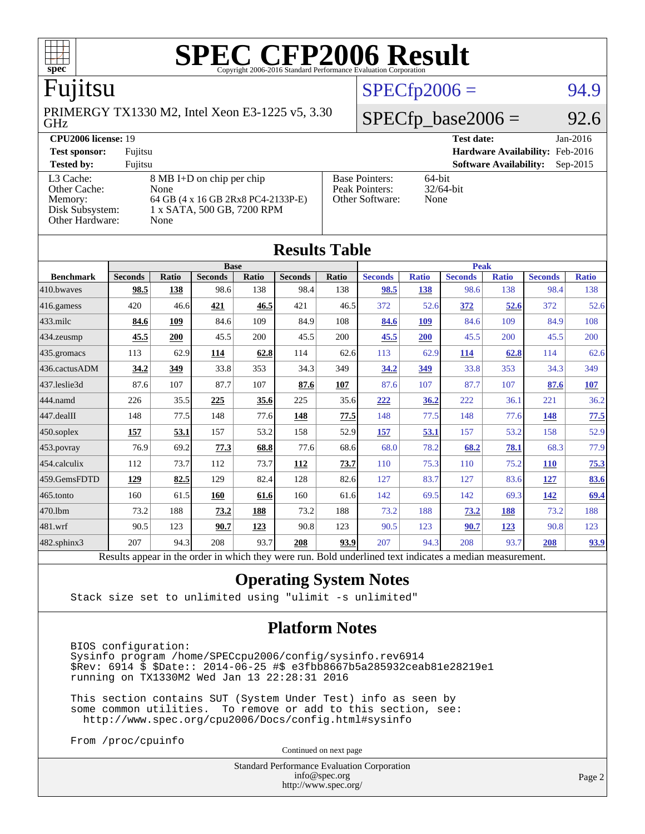

### Fujitsu

GHz PRIMERGY TX1330 M2, Intel Xeon E3-1225 v5, 3.30

#### **[CPU2006 license:](http://www.spec.org/auto/cpu2006/Docs/result-fields.html#CPU2006license)** 19 **[Test date:](http://www.spec.org/auto/cpu2006/Docs/result-fields.html#Testdate)** Jan-2016

**[Test sponsor:](http://www.spec.org/auto/cpu2006/Docs/result-fields.html#Testsponsor)** Fujitsu **[Hardware Availability:](http://www.spec.org/auto/cpu2006/Docs/result-fields.html#HardwareAvailability)** Feb-2016 [Other Cache:](http://www.spec.org/auto/cpu2006/Docs/result-fields.html#OtherCache)

[Other Hardware:](http://www.spec.org/auto/cpu2006/Docs/result-fields.html#OtherHardware) None

[L3 Cache:](http://www.spec.org/auto/cpu2006/Docs/result-fields.html#L3Cache) 8 MB I+D on chip per chip<br>Other Cache: None [Memory:](http://www.spec.org/auto/cpu2006/Docs/result-fields.html#Memory) 64 GB (4 x 16 GB 2Rx8 PC4-2133P-E) [Disk Subsystem:](http://www.spec.org/auto/cpu2006/Docs/result-fields.html#DiskSubsystem) 1 x SATA, 500 GB, 7200 RPM

| <b>TEST SPOTSOL</b> .                                   | r unisu                                                                                                         |                                                            | $\textbf{H}$ aruware Avanability. Teo-2010 |  |
|---------------------------------------------------------|-----------------------------------------------------------------------------------------------------------------|------------------------------------------------------------|--------------------------------------------|--|
| <b>Tested by:</b>                                       | Fuiitsu                                                                                                         |                                                            | <b>Software Availability:</b> Sep-2015     |  |
| L3 Cache:<br>Other Cache:<br>Memory:<br>Disk Subsystem: | $8 \text{ MB I+D}$ on chip per chip<br>None<br>64 GB (4 x 16 GB 2Rx8 PC4-2133P-E)<br>1 x SATA. 500 GB. 7200 RPM | <b>Base Pointers:</b><br>Peak Pointers:<br>Other Software: | $64$ -bit<br>$32/64$ -bit<br>None          |  |

 $SPECTp2006 = 94.9$ 

 $SPECfp\_base2006 = 92.6$ 

| <b>Results Table</b>   |                                                                                                          |              |                |       |                |       |                |              |                |              |                |              |
|------------------------|----------------------------------------------------------------------------------------------------------|--------------|----------------|-------|----------------|-------|----------------|--------------|----------------|--------------|----------------|--------------|
|                        | <b>Base</b>                                                                                              |              |                |       |                |       | <b>Peak</b>    |              |                |              |                |              |
| <b>Benchmark</b>       | <b>Seconds</b>                                                                                           | <b>Ratio</b> | <b>Seconds</b> | Ratio | <b>Seconds</b> | Ratio | <b>Seconds</b> | <b>Ratio</b> | <b>Seconds</b> | <b>Ratio</b> | <b>Seconds</b> | <b>Ratio</b> |
| 410.bwayes             | 98.5                                                                                                     | 138          | 98.6           | 138   | 98.4           | 138   | 98.5           | 138          | 98.6           | 138          | 98.4           | 138          |
| 416.gamess             | 420                                                                                                      | 46.6         | 421            | 46.5  | 421            | 46.5  | 372            | 52.6         | 372            | 52.6         | 372            | 52.6         |
| $433$ .milc            | 84.6                                                                                                     | 109          | 84.6           | 109   | 84.9           | 108   | 84.6           | 109          | 84.6           | 109          | 84.9           | 108          |
| 434.zeusmp             | 45.5                                                                                                     | 200          | 45.5           | 200   | 45.5           | 200   | 45.5           | 200          | 45.5           | 200          | 45.5           | 200          |
| 435.gromacs            | 113                                                                                                      | 62.9         | 114            | 62.8  | 114            | 62.6  | 113            | 62.9         | 114            | 62.8         | 114            | 62.6         |
| 436.cactusADM          | 34.2                                                                                                     | 349          | 33.8           | 353   | 34.3           | 349   | 34.2           | 349          | 33.8           | 353          | 34.3           | 349          |
| 437.leslie3d           | 87.6                                                                                                     | 107          | 87.7           | 107   | 87.6           | 107   | 87.6           | 107          | 87.7           | 107          | 87.6           | 107          |
| 444.namd               | 226                                                                                                      | 35.5         | 225            | 35.6  | 225            | 35.6  | 222            | 36.2         | 222            | 36.1         | 221            | 36.2         |
| $ 447 \text{.}$ dealII | 148                                                                                                      | 77.5         | 148            | 77.6  | 148            | 77.5  | 148            | 77.5         | 148            | 77.6         | 148            | 77.5         |
| $450$ .soplex          | 157                                                                                                      | 53.1         | 157            | 53.2  | 158            | 52.9  | 157            | 53.1         | 157            | 53.2         | 158            | 52.9         |
| 453.povray             | 76.9                                                                                                     | 69.2         | 77.3           | 68.8  | 77.6           | 68.6  | 68.0           | 78.2         | 68.2           | 78.1         | 68.3           | 77.9         |
| $ 454$ .calculix       | 112                                                                                                      | 73.7         | 112            | 73.7  | <b>112</b>     | 73.7  | 110            | 75.3         | 110            | 75.2         | <b>110</b>     | 75.3         |
| 459.GemsFDTD           | 129                                                                                                      | 82.5         | 129            | 82.4  | 128            | 82.6  | 127            | 83.7         | 127            | 83.6         | 127            | 83.6         |
| $465$ .tonto           | 160                                                                                                      | 61.5         | 160            | 61.6  | 160            | 61.6  | 142            | 69.5         | 142            | 69.3         | 142            | 69.4         |
| 470.1bm                | 73.2                                                                                                     | 188          | 73.2           | 188   | 73.2           | 188   | 73.2           | 188          | 73.2           | 188          | 73.2           | 188          |
| $481$ .wrf             | 90.5                                                                                                     | 123          | 90.7           | 123   | 90.8           | 123   | 90.5           | 123          | 90.7           | 123          | 90.8           | 123          |
| $482$ .sphinx $3$      | 207                                                                                                      | 94.3         | 208            | 93.7  | 208            | 93.9  | 207            | 94.3         | 208            | 93.7         | 208            | 93.9         |
|                        | Results appear in the order in which they were run. Bold underlined text indicates a median measurement. |              |                |       |                |       |                |              |                |              |                |              |

#### **[Operating System Notes](http://www.spec.org/auto/cpu2006/Docs/result-fields.html#OperatingSystemNotes)**

Stack size set to unlimited using "ulimit -s unlimited"

### **[Platform Notes](http://www.spec.org/auto/cpu2006/Docs/result-fields.html#PlatformNotes)**

 BIOS configuration: Sysinfo program /home/SPECcpu2006/config/sysinfo.rev6914 \$Rev: 6914 \$ \$Date:: 2014-06-25 #\$ e3fbb8667b5a285932ceab81e28219e1 running on TX1330M2 Wed Jan 13 22:28:31 2016

 This section contains SUT (System Under Test) info as seen by some common utilities. To remove or add to this section, see: <http://www.spec.org/cpu2006/Docs/config.html#sysinfo>

From /proc/cpuinfo

Continued on next page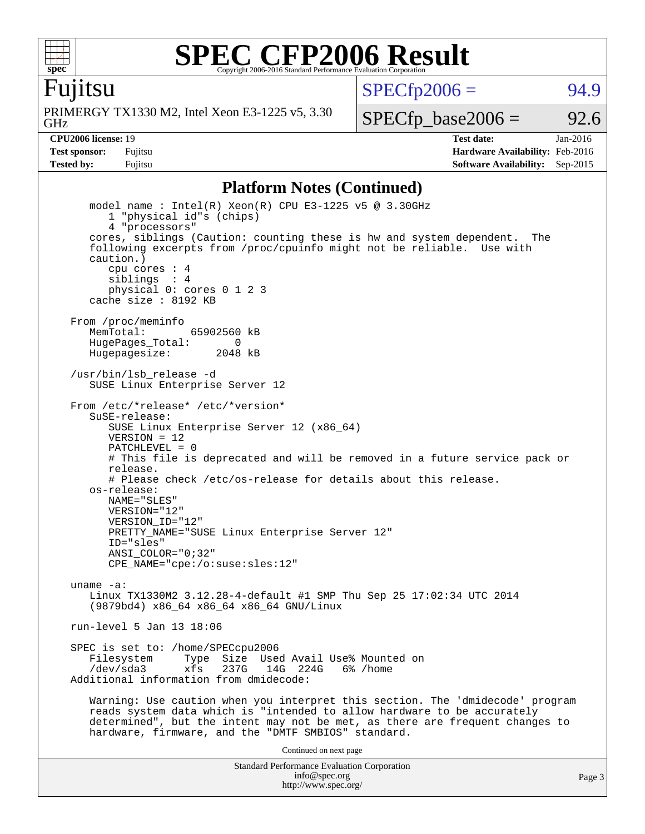

Fujitsu

 $SPECTp2006 = 94.9$ 

GHz PRIMERGY TX1330 M2, Intel Xeon E3-1225 v5, 3.30

 $SPECTp\_base2006 = 92.6$ 

**[CPU2006 license:](http://www.spec.org/auto/cpu2006/Docs/result-fields.html#CPU2006license)** 19 **[Test date:](http://www.spec.org/auto/cpu2006/Docs/result-fields.html#Testdate)** Jan-2016 **[Test sponsor:](http://www.spec.org/auto/cpu2006/Docs/result-fields.html#Testsponsor)** Fujitsu **[Hardware Availability:](http://www.spec.org/auto/cpu2006/Docs/result-fields.html#HardwareAvailability)** Feb-2016 **[Tested by:](http://www.spec.org/auto/cpu2006/Docs/result-fields.html#Testedby)** Fujitsu **Fugital Example 2015 [Software Availability:](http://www.spec.org/auto/cpu2006/Docs/result-fields.html#SoftwareAvailability)** Sep-2015

#### **[Platform Notes \(Continued\)](http://www.spec.org/auto/cpu2006/Docs/result-fields.html#PlatformNotes)**

Standard Performance Evaluation Corporation [info@spec.org](mailto:info@spec.org) model name : Intel(R) Xeon(R) CPU E3-1225 v5 @ 3.30GHz 1 "physical id"s (chips) 4 "processors" cores, siblings (Caution: counting these is hw and system dependent. The following excerpts from /proc/cpuinfo might not be reliable. Use with caution.) cpu cores : 4 siblings : 4 physical 0: cores 0 1 2 3 cache size : 8192 KB From /proc/meminfo MemTotal: 65902560 kB HugePages\_Total: 0<br>Hugepagesize: 2048 kB Hugepagesize: /usr/bin/lsb\_release -d SUSE Linux Enterprise Server 12 From /etc/\*release\* /etc/\*version\* SuSE-release: SUSE Linux Enterprise Server 12 (x86\_64)  $VFRSTON = 12$  PATCHLEVEL = 0 # This file is deprecated and will be removed in a future service pack or release. # Please check /etc/os-release for details about this release. os-release: NAME="SLES" VERSION="12" VERSION\_ID="12" PRETTY\_NAME="SUSE Linux Enterprise Server 12" ID="sles" ANSI\_COLOR="0;32" CPE\_NAME="cpe:/o:suse:sles:12" uname -a: Linux TX1330M2 3.12.28-4-default #1 SMP Thu Sep 25 17:02:34 UTC 2014 (9879bd4) x86\_64 x86\_64 x86\_64 GNU/Linux run-level 5 Jan 13 18:06 SPEC is set to: /home/SPECcpu2006<br>Filesystem Type Size Use Type Size Used Avail Use% Mounted on /dev/sda3 xfs 237G 14G 224G 6% /home Additional information from dmidecode: Warning: Use caution when you interpret this section. The 'dmidecode' program reads system data which is "intended to allow hardware to be accurately determined", but the intent may not be met, as there are frequent changes to hardware, firmware, and the "DMTF SMBIOS" standard. Continued on next page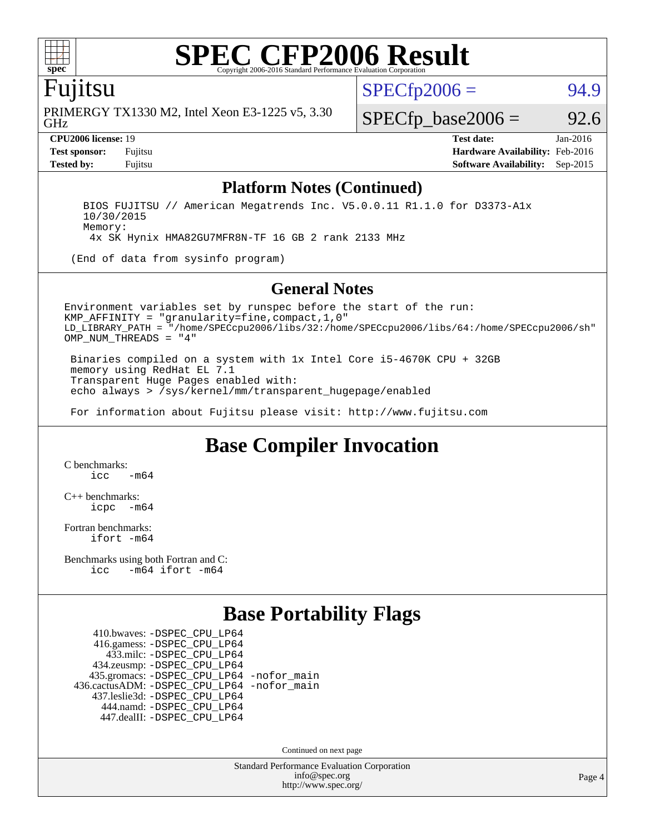

### Fujitsu

GHz PRIMERGY TX1330 M2, Intel Xeon E3-1225 v5, 3.30  $SPECTp2006 = 94.9$ 

 $SPECTp\_base2006 = 92.6$ 

**[CPU2006 license:](http://www.spec.org/auto/cpu2006/Docs/result-fields.html#CPU2006license)** 19 **[Test date:](http://www.spec.org/auto/cpu2006/Docs/result-fields.html#Testdate)** Jan-2016 **[Test sponsor:](http://www.spec.org/auto/cpu2006/Docs/result-fields.html#Testsponsor)** Fujitsu **[Hardware Availability:](http://www.spec.org/auto/cpu2006/Docs/result-fields.html#HardwareAvailability)** Feb-2016 **[Tested by:](http://www.spec.org/auto/cpu2006/Docs/result-fields.html#Testedby)** Fujitsu **[Software Availability:](http://www.spec.org/auto/cpu2006/Docs/result-fields.html#SoftwareAvailability)** Sep-2015

#### **[Platform Notes \(Continued\)](http://www.spec.org/auto/cpu2006/Docs/result-fields.html#PlatformNotes)**

 BIOS FUJITSU // American Megatrends Inc. V5.0.0.11 R1.1.0 for D3373-A1x 10/30/2015 Memory:

4x SK Hynix HMA82GU7MFR8N-TF 16 GB 2 rank 2133 MHz

(End of data from sysinfo program)

#### **[General Notes](http://www.spec.org/auto/cpu2006/Docs/result-fields.html#GeneralNotes)**

Environment variables set by runspec before the start of the run: KMP\_AFFINITY = "granularity=fine,compact,1,0" LD\_LIBRARY\_PATH = "/home/SPECcpu2006/libs/32:/home/SPECcpu2006/libs/64:/home/SPECcpu2006/sh" OMP NUM THREADS = "4"

 Binaries compiled on a system with 1x Intel Core i5-4670K CPU + 32GB memory using RedHat EL 7.1 Transparent Huge Pages enabled with: echo always > /sys/kernel/mm/transparent\_hugepage/enabled

For information about Fujitsu please visit: <http://www.fujitsu.com>

### **[Base Compiler Invocation](http://www.spec.org/auto/cpu2006/Docs/result-fields.html#BaseCompilerInvocation)**

[C benchmarks](http://www.spec.org/auto/cpu2006/Docs/result-fields.html#Cbenchmarks):  $\frac{1}{2}$ cc  $-\text{m64}$ 

[C++ benchmarks:](http://www.spec.org/auto/cpu2006/Docs/result-fields.html#CXXbenchmarks) [icpc -m64](http://www.spec.org/cpu2006/results/res2016q1/cpu2006-20160125-38914.flags.html#user_CXXbase_intel_icpc_64bit_bedb90c1146cab66620883ef4f41a67e)

[Fortran benchmarks](http://www.spec.org/auto/cpu2006/Docs/result-fields.html#Fortranbenchmarks): [ifort -m64](http://www.spec.org/cpu2006/results/res2016q1/cpu2006-20160125-38914.flags.html#user_FCbase_intel_ifort_64bit_ee9d0fb25645d0210d97eb0527dcc06e)

[Benchmarks using both Fortran and C](http://www.spec.org/auto/cpu2006/Docs/result-fields.html#BenchmarksusingbothFortranandC): [icc -m64](http://www.spec.org/cpu2006/results/res2016q1/cpu2006-20160125-38914.flags.html#user_CC_FCbase_intel_icc_64bit_0b7121f5ab7cfabee23d88897260401c) [ifort -m64](http://www.spec.org/cpu2006/results/res2016q1/cpu2006-20160125-38914.flags.html#user_CC_FCbase_intel_ifort_64bit_ee9d0fb25645d0210d97eb0527dcc06e)

### **[Base Portability Flags](http://www.spec.org/auto/cpu2006/Docs/result-fields.html#BasePortabilityFlags)**

 410.bwaves: [-DSPEC\\_CPU\\_LP64](http://www.spec.org/cpu2006/results/res2016q1/cpu2006-20160125-38914.flags.html#suite_basePORTABILITY410_bwaves_DSPEC_CPU_LP64) 416.gamess: [-DSPEC\\_CPU\\_LP64](http://www.spec.org/cpu2006/results/res2016q1/cpu2006-20160125-38914.flags.html#suite_basePORTABILITY416_gamess_DSPEC_CPU_LP64) 433.milc: [-DSPEC\\_CPU\\_LP64](http://www.spec.org/cpu2006/results/res2016q1/cpu2006-20160125-38914.flags.html#suite_basePORTABILITY433_milc_DSPEC_CPU_LP64) 434.zeusmp: [-DSPEC\\_CPU\\_LP64](http://www.spec.org/cpu2006/results/res2016q1/cpu2006-20160125-38914.flags.html#suite_basePORTABILITY434_zeusmp_DSPEC_CPU_LP64) 435.gromacs: [-DSPEC\\_CPU\\_LP64](http://www.spec.org/cpu2006/results/res2016q1/cpu2006-20160125-38914.flags.html#suite_basePORTABILITY435_gromacs_DSPEC_CPU_LP64) [-nofor\\_main](http://www.spec.org/cpu2006/results/res2016q1/cpu2006-20160125-38914.flags.html#user_baseLDPORTABILITY435_gromacs_f-nofor_main) 436.cactusADM: [-DSPEC\\_CPU\\_LP64](http://www.spec.org/cpu2006/results/res2016q1/cpu2006-20160125-38914.flags.html#suite_basePORTABILITY436_cactusADM_DSPEC_CPU_LP64) [-nofor\\_main](http://www.spec.org/cpu2006/results/res2016q1/cpu2006-20160125-38914.flags.html#user_baseLDPORTABILITY436_cactusADM_f-nofor_main) 437.leslie3d: [-DSPEC\\_CPU\\_LP64](http://www.spec.org/cpu2006/results/res2016q1/cpu2006-20160125-38914.flags.html#suite_basePORTABILITY437_leslie3d_DSPEC_CPU_LP64) 444.namd: [-DSPEC\\_CPU\\_LP64](http://www.spec.org/cpu2006/results/res2016q1/cpu2006-20160125-38914.flags.html#suite_basePORTABILITY444_namd_DSPEC_CPU_LP64) 447.dealII: [-DSPEC\\_CPU\\_LP64](http://www.spec.org/cpu2006/results/res2016q1/cpu2006-20160125-38914.flags.html#suite_basePORTABILITY447_dealII_DSPEC_CPU_LP64)

Continued on next page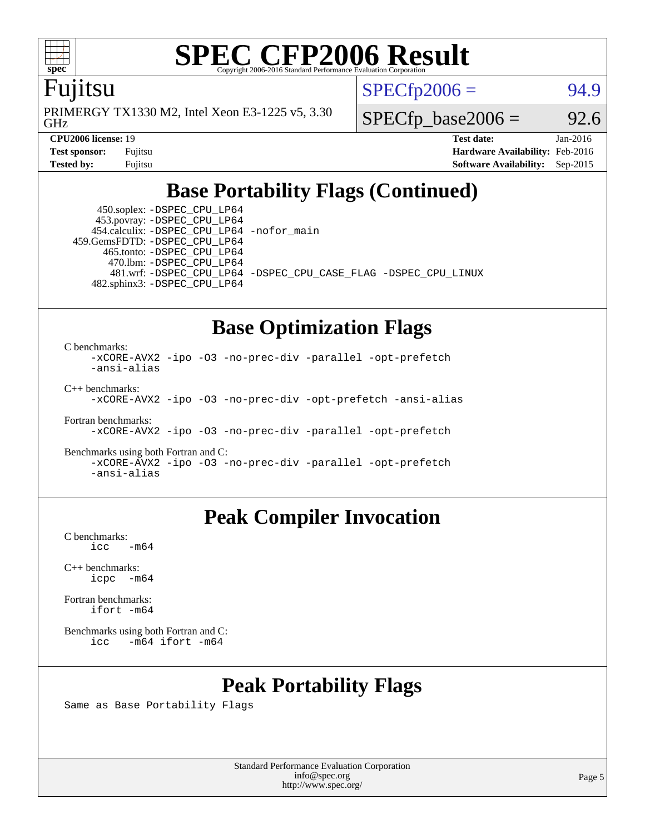

### Fujitsu

GHz PRIMERGY TX1330 M2, Intel Xeon E3-1225 v5, 3.30  $SPECTp2006 = 94.9$ 

 $SPECTp\_base2006 = 92.6$ 

**[CPU2006 license:](http://www.spec.org/auto/cpu2006/Docs/result-fields.html#CPU2006license)** 19 **[Test date:](http://www.spec.org/auto/cpu2006/Docs/result-fields.html#Testdate)** Jan-2016 **[Test sponsor:](http://www.spec.org/auto/cpu2006/Docs/result-fields.html#Testsponsor)** Fujitsu **[Hardware Availability:](http://www.spec.org/auto/cpu2006/Docs/result-fields.html#HardwareAvailability)** Feb-2016 **[Tested by:](http://www.spec.org/auto/cpu2006/Docs/result-fields.html#Testedby)** Fujitsu **[Software Availability:](http://www.spec.org/auto/cpu2006/Docs/result-fields.html#SoftwareAvailability)** Sep-2015

### **[Base Portability Flags \(Continued\)](http://www.spec.org/auto/cpu2006/Docs/result-fields.html#BasePortabilityFlags)**

 450.soplex: [-DSPEC\\_CPU\\_LP64](http://www.spec.org/cpu2006/results/res2016q1/cpu2006-20160125-38914.flags.html#suite_basePORTABILITY450_soplex_DSPEC_CPU_LP64) 453.povray: [-DSPEC\\_CPU\\_LP64](http://www.spec.org/cpu2006/results/res2016q1/cpu2006-20160125-38914.flags.html#suite_basePORTABILITY453_povray_DSPEC_CPU_LP64) 454.calculix: [-DSPEC\\_CPU\\_LP64](http://www.spec.org/cpu2006/results/res2016q1/cpu2006-20160125-38914.flags.html#suite_basePORTABILITY454_calculix_DSPEC_CPU_LP64) [-nofor\\_main](http://www.spec.org/cpu2006/results/res2016q1/cpu2006-20160125-38914.flags.html#user_baseLDPORTABILITY454_calculix_f-nofor_main) 459.GemsFDTD: [-DSPEC\\_CPU\\_LP64](http://www.spec.org/cpu2006/results/res2016q1/cpu2006-20160125-38914.flags.html#suite_basePORTABILITY459_GemsFDTD_DSPEC_CPU_LP64) 465.tonto: [-DSPEC\\_CPU\\_LP64](http://www.spec.org/cpu2006/results/res2016q1/cpu2006-20160125-38914.flags.html#suite_basePORTABILITY465_tonto_DSPEC_CPU_LP64) 470.lbm: [-DSPEC\\_CPU\\_LP64](http://www.spec.org/cpu2006/results/res2016q1/cpu2006-20160125-38914.flags.html#suite_basePORTABILITY470_lbm_DSPEC_CPU_LP64) 482.sphinx3: [-DSPEC\\_CPU\\_LP64](http://www.spec.org/cpu2006/results/res2016q1/cpu2006-20160125-38914.flags.html#suite_basePORTABILITY482_sphinx3_DSPEC_CPU_LP64)

481.wrf: [-DSPEC\\_CPU\\_LP64](http://www.spec.org/cpu2006/results/res2016q1/cpu2006-20160125-38914.flags.html#suite_basePORTABILITY481_wrf_DSPEC_CPU_LP64) [-DSPEC\\_CPU\\_CASE\\_FLAG](http://www.spec.org/cpu2006/results/res2016q1/cpu2006-20160125-38914.flags.html#b481.wrf_baseCPORTABILITY_DSPEC_CPU_CASE_FLAG) [-DSPEC\\_CPU\\_LINUX](http://www.spec.org/cpu2006/results/res2016q1/cpu2006-20160125-38914.flags.html#b481.wrf_baseCPORTABILITY_DSPEC_CPU_LINUX)

### **[Base Optimization Flags](http://www.spec.org/auto/cpu2006/Docs/result-fields.html#BaseOptimizationFlags)**

[C benchmarks](http://www.spec.org/auto/cpu2006/Docs/result-fields.html#Cbenchmarks):

[-xCORE-AVX2](http://www.spec.org/cpu2006/results/res2016q1/cpu2006-20160125-38914.flags.html#user_CCbase_f-xAVX2_5f5fc0cbe2c9f62c816d3e45806c70d7) [-ipo](http://www.spec.org/cpu2006/results/res2016q1/cpu2006-20160125-38914.flags.html#user_CCbase_f-ipo) [-O3](http://www.spec.org/cpu2006/results/res2016q1/cpu2006-20160125-38914.flags.html#user_CCbase_f-O3) [-no-prec-div](http://www.spec.org/cpu2006/results/res2016q1/cpu2006-20160125-38914.flags.html#user_CCbase_f-no-prec-div) [-parallel](http://www.spec.org/cpu2006/results/res2016q1/cpu2006-20160125-38914.flags.html#user_CCbase_f-parallel) [-opt-prefetch](http://www.spec.org/cpu2006/results/res2016q1/cpu2006-20160125-38914.flags.html#user_CCbase_f-opt-prefetch) [-ansi-alias](http://www.spec.org/cpu2006/results/res2016q1/cpu2006-20160125-38914.flags.html#user_CCbase_f-ansi-alias) [C++ benchmarks:](http://www.spec.org/auto/cpu2006/Docs/result-fields.html#CXXbenchmarks)

[-xCORE-AVX2](http://www.spec.org/cpu2006/results/res2016q1/cpu2006-20160125-38914.flags.html#user_CXXbase_f-xAVX2_5f5fc0cbe2c9f62c816d3e45806c70d7) [-ipo](http://www.spec.org/cpu2006/results/res2016q1/cpu2006-20160125-38914.flags.html#user_CXXbase_f-ipo) [-O3](http://www.spec.org/cpu2006/results/res2016q1/cpu2006-20160125-38914.flags.html#user_CXXbase_f-O3) [-no-prec-div](http://www.spec.org/cpu2006/results/res2016q1/cpu2006-20160125-38914.flags.html#user_CXXbase_f-no-prec-div) [-opt-prefetch](http://www.spec.org/cpu2006/results/res2016q1/cpu2006-20160125-38914.flags.html#user_CXXbase_f-opt-prefetch) [-ansi-alias](http://www.spec.org/cpu2006/results/res2016q1/cpu2006-20160125-38914.flags.html#user_CXXbase_f-ansi-alias)

[Fortran benchmarks](http://www.spec.org/auto/cpu2006/Docs/result-fields.html#Fortranbenchmarks): [-xCORE-AVX2](http://www.spec.org/cpu2006/results/res2016q1/cpu2006-20160125-38914.flags.html#user_FCbase_f-xAVX2_5f5fc0cbe2c9f62c816d3e45806c70d7) [-ipo](http://www.spec.org/cpu2006/results/res2016q1/cpu2006-20160125-38914.flags.html#user_FCbase_f-ipo) [-O3](http://www.spec.org/cpu2006/results/res2016q1/cpu2006-20160125-38914.flags.html#user_FCbase_f-O3) [-no-prec-div](http://www.spec.org/cpu2006/results/res2016q1/cpu2006-20160125-38914.flags.html#user_FCbase_f-no-prec-div) [-parallel](http://www.spec.org/cpu2006/results/res2016q1/cpu2006-20160125-38914.flags.html#user_FCbase_f-parallel) [-opt-prefetch](http://www.spec.org/cpu2006/results/res2016q1/cpu2006-20160125-38914.flags.html#user_FCbase_f-opt-prefetch)

[Benchmarks using both Fortran and C](http://www.spec.org/auto/cpu2006/Docs/result-fields.html#BenchmarksusingbothFortranandC): [-xCORE-AVX2](http://www.spec.org/cpu2006/results/res2016q1/cpu2006-20160125-38914.flags.html#user_CC_FCbase_f-xAVX2_5f5fc0cbe2c9f62c816d3e45806c70d7) [-ipo](http://www.spec.org/cpu2006/results/res2016q1/cpu2006-20160125-38914.flags.html#user_CC_FCbase_f-ipo) [-O3](http://www.spec.org/cpu2006/results/res2016q1/cpu2006-20160125-38914.flags.html#user_CC_FCbase_f-O3) [-no-prec-div](http://www.spec.org/cpu2006/results/res2016q1/cpu2006-20160125-38914.flags.html#user_CC_FCbase_f-no-prec-div) [-parallel](http://www.spec.org/cpu2006/results/res2016q1/cpu2006-20160125-38914.flags.html#user_CC_FCbase_f-parallel) [-opt-prefetch](http://www.spec.org/cpu2006/results/res2016q1/cpu2006-20160125-38914.flags.html#user_CC_FCbase_f-opt-prefetch) [-ansi-alias](http://www.spec.org/cpu2006/results/res2016q1/cpu2006-20160125-38914.flags.html#user_CC_FCbase_f-ansi-alias)

### **[Peak Compiler Invocation](http://www.spec.org/auto/cpu2006/Docs/result-fields.html#PeakCompilerInvocation)**

[C benchmarks](http://www.spec.org/auto/cpu2006/Docs/result-fields.html#Cbenchmarks):  $\text{icc}$   $-\text{m64}$ 

[C++ benchmarks:](http://www.spec.org/auto/cpu2006/Docs/result-fields.html#CXXbenchmarks) [icpc -m64](http://www.spec.org/cpu2006/results/res2016q1/cpu2006-20160125-38914.flags.html#user_CXXpeak_intel_icpc_64bit_bedb90c1146cab66620883ef4f41a67e)

[Fortran benchmarks](http://www.spec.org/auto/cpu2006/Docs/result-fields.html#Fortranbenchmarks): [ifort -m64](http://www.spec.org/cpu2006/results/res2016q1/cpu2006-20160125-38914.flags.html#user_FCpeak_intel_ifort_64bit_ee9d0fb25645d0210d97eb0527dcc06e)

[Benchmarks using both Fortran and C](http://www.spec.org/auto/cpu2006/Docs/result-fields.html#BenchmarksusingbothFortranandC): [icc -m64](http://www.spec.org/cpu2006/results/res2016q1/cpu2006-20160125-38914.flags.html#user_CC_FCpeak_intel_icc_64bit_0b7121f5ab7cfabee23d88897260401c) [ifort -m64](http://www.spec.org/cpu2006/results/res2016q1/cpu2006-20160125-38914.flags.html#user_CC_FCpeak_intel_ifort_64bit_ee9d0fb25645d0210d97eb0527dcc06e)

### **[Peak Portability Flags](http://www.spec.org/auto/cpu2006/Docs/result-fields.html#PeakPortabilityFlags)**

Same as Base Portability Flags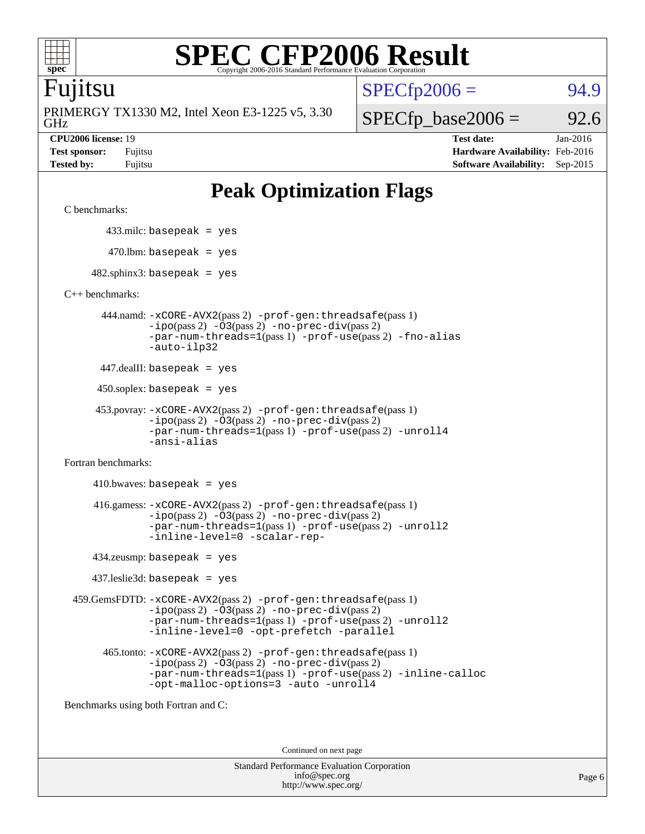

### Fujitsu

GHz PRIMERGY TX1330 M2, Intel Xeon E3-1225 v5, 3.30  $SPECTp2006 = 94.9$ 

 $SPECfp\_base2006 = 92.6$ 

**[CPU2006 license:](http://www.spec.org/auto/cpu2006/Docs/result-fields.html#CPU2006license)** 19 **[Test date:](http://www.spec.org/auto/cpu2006/Docs/result-fields.html#Testdate)** Jan-2016 **[Test sponsor:](http://www.spec.org/auto/cpu2006/Docs/result-fields.html#Testsponsor)** Fujitsu **[Hardware Availability:](http://www.spec.org/auto/cpu2006/Docs/result-fields.html#HardwareAvailability)** Feb-2016 **[Tested by:](http://www.spec.org/auto/cpu2006/Docs/result-fields.html#Testedby)** Fujitsu **[Software Availability:](http://www.spec.org/auto/cpu2006/Docs/result-fields.html#SoftwareAvailability)** Sep-2015

## **[Peak Optimization Flags](http://www.spec.org/auto/cpu2006/Docs/result-fields.html#PeakOptimizationFlags)**

[C benchmarks](http://www.spec.org/auto/cpu2006/Docs/result-fields.html#Cbenchmarks):

433.milc: basepeak = yes

 $470.$ lbm: basepeak = yes

 $482$ .sphinx3: basepeak = yes

[C++ benchmarks:](http://www.spec.org/auto/cpu2006/Docs/result-fields.html#CXXbenchmarks)

 444.namd: [-xCORE-AVX2](http://www.spec.org/cpu2006/results/res2016q1/cpu2006-20160125-38914.flags.html#user_peakPASS2_CXXFLAGSPASS2_LDFLAGS444_namd_f-xAVX2_5f5fc0cbe2c9f62c816d3e45806c70d7)(pass 2) [-prof-gen:threadsafe](http://www.spec.org/cpu2006/results/res2016q1/cpu2006-20160125-38914.flags.html#user_peakPASS1_CXXFLAGSPASS1_LDFLAGS444_namd_prof_gen_21a26eb79f378b550acd7bec9fe4467a)(pass 1) [-ipo](http://www.spec.org/cpu2006/results/res2016q1/cpu2006-20160125-38914.flags.html#user_peakPASS2_CXXFLAGSPASS2_LDFLAGS444_namd_f-ipo)(pass 2) [-O3](http://www.spec.org/cpu2006/results/res2016q1/cpu2006-20160125-38914.flags.html#user_peakPASS2_CXXFLAGSPASS2_LDFLAGS444_namd_f-O3)(pass 2) [-no-prec-div](http://www.spec.org/cpu2006/results/res2016q1/cpu2006-20160125-38914.flags.html#user_peakPASS2_CXXFLAGSPASS2_LDFLAGS444_namd_f-no-prec-div)(pass 2) [-par-num-threads=1](http://www.spec.org/cpu2006/results/res2016q1/cpu2006-20160125-38914.flags.html#user_peakPASS1_CXXFLAGSPASS1_LDFLAGS444_namd_par_num_threads_786a6ff141b4e9e90432e998842df6c2)(pass 1) [-prof-use](http://www.spec.org/cpu2006/results/res2016q1/cpu2006-20160125-38914.flags.html#user_peakPASS2_CXXFLAGSPASS2_LDFLAGS444_namd_prof_use_bccf7792157ff70d64e32fe3e1250b55)(pass 2) [-fno-alias](http://www.spec.org/cpu2006/results/res2016q1/cpu2006-20160125-38914.flags.html#user_peakCXXOPTIMIZEOPTIMIZE444_namd_f-no-alias_694e77f6c5a51e658e82ccff53a9e63a) [-auto-ilp32](http://www.spec.org/cpu2006/results/res2016q1/cpu2006-20160125-38914.flags.html#user_peakCXXOPTIMIZE444_namd_f-auto-ilp32)

447.dealII: basepeak = yes

450.soplex: basepeak = yes

```
 453.povray: -xCORE-AVX2(pass 2) -prof-gen:threadsafe(pass 1)
-ipo(pass 2) -O3(pass 2) -no-prec-div(pass 2)
-par-num-threads=1(pass 1) -prof-use(pass 2) -unroll4
-ansi-alias
```
[Fortran benchmarks](http://www.spec.org/auto/cpu2006/Docs/result-fields.html#Fortranbenchmarks):

 $410.bwaves: basepeak = yes$  416.gamess: [-xCORE-AVX2](http://www.spec.org/cpu2006/results/res2016q1/cpu2006-20160125-38914.flags.html#user_peakPASS2_FFLAGSPASS2_LDFLAGS416_gamess_f-xAVX2_5f5fc0cbe2c9f62c816d3e45806c70d7)(pass 2) [-prof-gen:threadsafe](http://www.spec.org/cpu2006/results/res2016q1/cpu2006-20160125-38914.flags.html#user_peakPASS1_FFLAGSPASS1_LDFLAGS416_gamess_prof_gen_21a26eb79f378b550acd7bec9fe4467a)(pass 1)  $-i\text{po}(pass 2) -\text{O3}(pass 2)$  [-no-prec-div](http://www.spec.org/cpu2006/results/res2016q1/cpu2006-20160125-38914.flags.html#user_peakPASS2_FFLAGSPASS2_LDFLAGS416_gamess_f-no-prec-div)(pass 2) [-par-num-threads=1](http://www.spec.org/cpu2006/results/res2016q1/cpu2006-20160125-38914.flags.html#user_peakPASS1_FFLAGSPASS1_LDFLAGS416_gamess_par_num_threads_786a6ff141b4e9e90432e998842df6c2)(pass 1) [-prof-use](http://www.spec.org/cpu2006/results/res2016q1/cpu2006-20160125-38914.flags.html#user_peakPASS2_FFLAGSPASS2_LDFLAGS416_gamess_prof_use_bccf7792157ff70d64e32fe3e1250b55)(pass 2) [-unroll2](http://www.spec.org/cpu2006/results/res2016q1/cpu2006-20160125-38914.flags.html#user_peakOPTIMIZE416_gamess_f-unroll_784dae83bebfb236979b41d2422d7ec2) [-inline-level=0](http://www.spec.org/cpu2006/results/res2016q1/cpu2006-20160125-38914.flags.html#user_peakOPTIMIZE416_gamess_f-inline-level_318d07a09274ad25e8d15dbfaa68ba50) [-scalar-rep-](http://www.spec.org/cpu2006/results/res2016q1/cpu2006-20160125-38914.flags.html#user_peakOPTIMIZE416_gamess_f-disablescalarrep_abbcad04450fb118e4809c81d83c8a1d)

434.zeusmp: basepeak = yes

437.leslie3d: basepeak = yes

 459.GemsFDTD: [-xCORE-AVX2](http://www.spec.org/cpu2006/results/res2016q1/cpu2006-20160125-38914.flags.html#user_peakPASS2_FFLAGSPASS2_LDFLAGS459_GemsFDTD_f-xAVX2_5f5fc0cbe2c9f62c816d3e45806c70d7)(pass 2) [-prof-gen:threadsafe](http://www.spec.org/cpu2006/results/res2016q1/cpu2006-20160125-38914.flags.html#user_peakPASS1_FFLAGSPASS1_LDFLAGS459_GemsFDTD_prof_gen_21a26eb79f378b550acd7bec9fe4467a)(pass 1)  $-i\text{po}(pass 2) -03(pass 2) -no-prec-div(pass 2)$  $-i\text{po}(pass 2) -03(pass 2) -no-prec-div(pass 2)$  $-i\text{po}(pass 2) -03(pass 2) -no-prec-div(pass 2)$ [-par-num-threads=1](http://www.spec.org/cpu2006/results/res2016q1/cpu2006-20160125-38914.flags.html#user_peakPASS1_FFLAGSPASS1_LDFLAGS459_GemsFDTD_par_num_threads_786a6ff141b4e9e90432e998842df6c2)(pass 1) [-prof-use](http://www.spec.org/cpu2006/results/res2016q1/cpu2006-20160125-38914.flags.html#user_peakPASS2_FFLAGSPASS2_LDFLAGS459_GemsFDTD_prof_use_bccf7792157ff70d64e32fe3e1250b55)(pass 2) [-unroll2](http://www.spec.org/cpu2006/results/res2016q1/cpu2006-20160125-38914.flags.html#user_peakOPTIMIZE459_GemsFDTD_f-unroll_784dae83bebfb236979b41d2422d7ec2) [-inline-level=0](http://www.spec.org/cpu2006/results/res2016q1/cpu2006-20160125-38914.flags.html#user_peakOPTIMIZE459_GemsFDTD_f-inline-level_318d07a09274ad25e8d15dbfaa68ba50) [-opt-prefetch](http://www.spec.org/cpu2006/results/res2016q1/cpu2006-20160125-38914.flags.html#user_peakOPTIMIZE459_GemsFDTD_f-opt-prefetch) [-parallel](http://www.spec.org/cpu2006/results/res2016q1/cpu2006-20160125-38914.flags.html#user_peakOPTIMIZE459_GemsFDTD_f-parallel)

 465.tonto: [-xCORE-AVX2](http://www.spec.org/cpu2006/results/res2016q1/cpu2006-20160125-38914.flags.html#user_peakPASS2_FFLAGSPASS2_LDFLAGS465_tonto_f-xAVX2_5f5fc0cbe2c9f62c816d3e45806c70d7)(pass 2) [-prof-gen:threadsafe](http://www.spec.org/cpu2006/results/res2016q1/cpu2006-20160125-38914.flags.html#user_peakPASS1_FFLAGSPASS1_LDFLAGS465_tonto_prof_gen_21a26eb79f378b550acd7bec9fe4467a)(pass 1)  $-i\text{po}(pass 2)$   $-03(pass 2)$   $-no-prec-div(pass 2)$  $-no-prec-div(pass 2)$ [-par-num-threads=1](http://www.spec.org/cpu2006/results/res2016q1/cpu2006-20160125-38914.flags.html#user_peakPASS1_FFLAGSPASS1_LDFLAGS465_tonto_par_num_threads_786a6ff141b4e9e90432e998842df6c2)(pass 1) [-prof-use](http://www.spec.org/cpu2006/results/res2016q1/cpu2006-20160125-38914.flags.html#user_peakPASS2_FFLAGSPASS2_LDFLAGS465_tonto_prof_use_bccf7792157ff70d64e32fe3e1250b55)(pass 2) [-inline-calloc](http://www.spec.org/cpu2006/results/res2016q1/cpu2006-20160125-38914.flags.html#user_peakOPTIMIZE465_tonto_f-inline-calloc) [-opt-malloc-options=3](http://www.spec.org/cpu2006/results/res2016q1/cpu2006-20160125-38914.flags.html#user_peakOPTIMIZE465_tonto_f-opt-malloc-options_13ab9b803cf986b4ee62f0a5998c2238) [-auto](http://www.spec.org/cpu2006/results/res2016q1/cpu2006-20160125-38914.flags.html#user_peakOPTIMIZE465_tonto_f-auto) [-unroll4](http://www.spec.org/cpu2006/results/res2016q1/cpu2006-20160125-38914.flags.html#user_peakOPTIMIZE465_tonto_f-unroll_4e5e4ed65b7fd20bdcd365bec371b81f)

[Benchmarks using both Fortran and C](http://www.spec.org/auto/cpu2006/Docs/result-fields.html#BenchmarksusingbothFortranandC):

Continued on next page